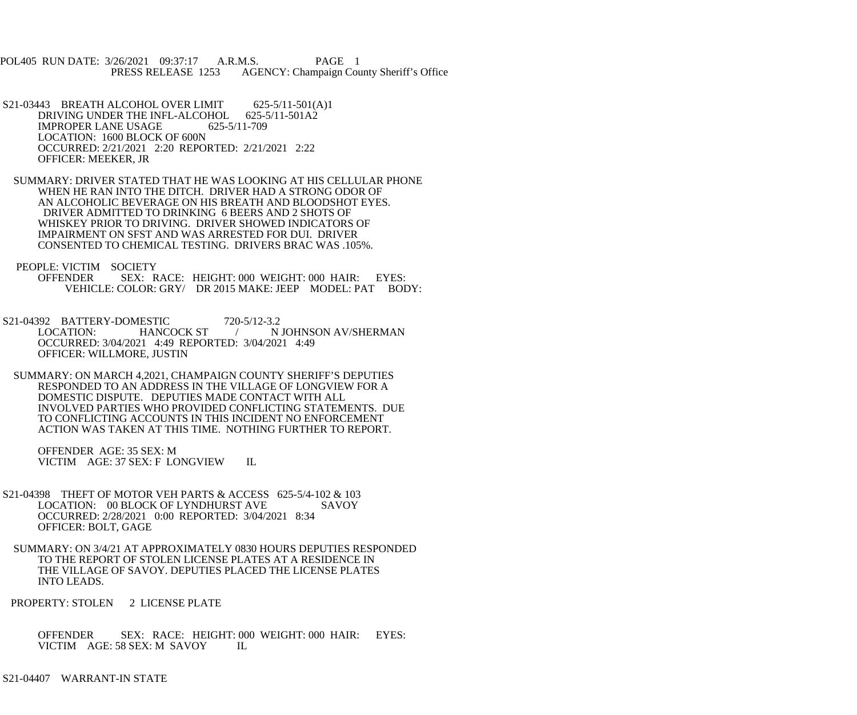POL405 RUN DATE: 3/26/2021 09:37:17 A.R.M.S. PAGE 1 PRESS RELEASE 1253 AGENCY: Champaign County Sheriff's Office

 S21-03443 BREATH ALCOHOL OVER LIMIT 625-5/11-501(A)1 DRIVING UNDER THE INFL-ALCOHOL 625-5/11-501A2 IMPROPER LANE USAGE 625-5/11-709 LOCATION: 1600 BLOCK OF 600N OCCURRED: 2/21/2021 2:20 REPORTED: 2/21/2021 2:22 OFFICER: MEEKER, JR

 SUMMARY: DRIVER STATED THAT HE WAS LOOKING AT HIS CELLULAR PHONE WHEN HE RAN INTO THE DITCH. DRIVER HAD A STRONG ODOR OF AN ALCOHOLIC BEVERAGE ON HIS BREATH AND BLOODSHOT EYES. DRIVER ADMITTED TO DRINKING 6 BEERS AND 2 SHOTS OF WHISKEY PRIOR TO DRIVING. DRIVER SHOWED INDICATORS OF IMPAIRMENT ON SFST AND WAS ARRESTED FOR DUI. DRIVER CONSENTED TO CHEMICAL TESTING. DRIVERS BRAC WAS .105%.

PEOPLE: VICTIM SOCIETY

 OFFENDER SEX: RACE: HEIGHT: 000 WEIGHT: 000 HAIR: EYES: VEHICLE: COLOR: GRY/ DR 2015 MAKE: JEEP MODEL: PAT BODY:

S21-04392 BATTERY-DOMESTIC 720-5/12-3.2<br>LOCATION: HANCOCK ST / N / N JOHNSON AV/SHERMAN OCCURRED: 3/04/2021 4:49 REPORTED: 3/04/2021 4:49 OFFICER: WILLMORE, JUSTIN

 SUMMARY: ON MARCH 4,2021, CHAMPAIGN COUNTY SHERIFF'S DEPUTIES RESPONDED TO AN ADDRESS IN THE VILLAGE OF LONGVIEW FOR A DOMESTIC DISPUTE. DEPUTIES MADE CONTACT WITH ALL INVOLVED PARTIES WHO PROVIDED CONFLICTING STATEMENTS. DUE TO CONFLICTING ACCOUNTS IN THIS INCIDENT NO ENFORCEMENT ACTION WAS TAKEN AT THIS TIME. NOTHING FURTHER TO REPORT.

 OFFENDER AGE: 35 SEX: M VICTIM AGE: 37 SEX: F LONGVIEW IL

- S21-04398 THEFT OF MOTOR VEH PARTS & ACCESS 625-5/4-102 & 103 LOCATION: 00 BLOCK OF LYNDHURST AVE SAVOY OCCURRED: 2/28/2021 0:00 REPORTED: 3/04/2021 8:34 OFFICER: BOLT, GAGE
- SUMMARY: ON 3/4/21 AT APPROXIMATELY 0830 HOURS DEPUTIES RESPONDED TO THE REPORT OF STOLEN LICENSE PLATES AT A RESIDENCE IN THE VILLAGE OF SAVOY. DEPUTIES PLACED THE LICENSE PLATES INTO LEADS.

PROPERTY: STOLEN 2 LICENSE PLATE

 OFFENDER SEX: RACE: HEIGHT: 000 WEIGHT: 000 HAIR: EYES: VICTIM AGE: 58 SEX: M SAVOY IL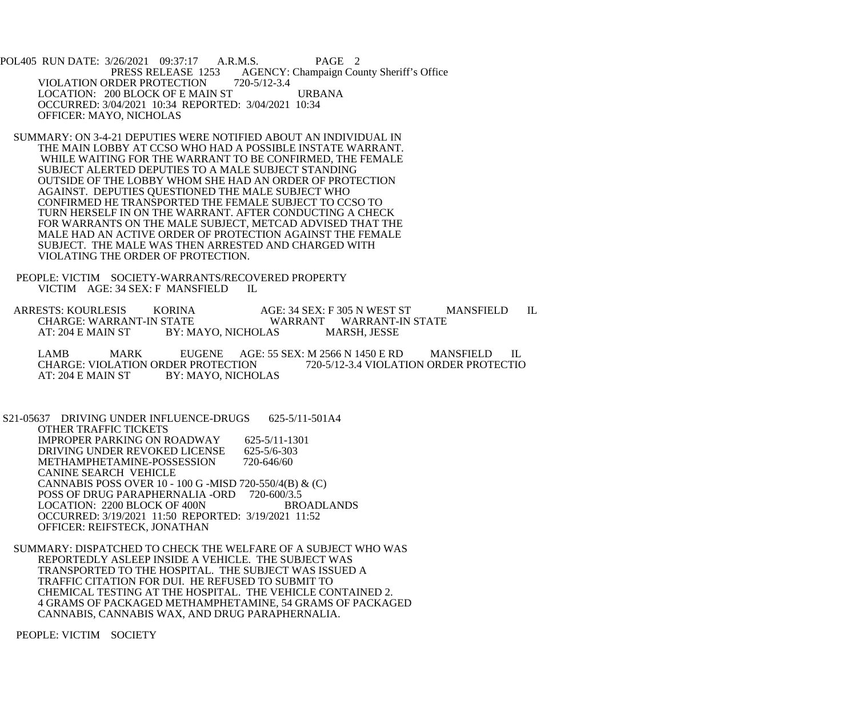POL405 RUN DATE: 3/26/2021 09:37:17 A.R.M.S. PAGE 2<br>PRESS RELEASE 1253 AGENCY: Champaign Cou AGENCY: Champaign County Sheriff's Office VIOLATION ORDER PROTECTION 720-5/12-3.4 LOCATION: 200 BLOCK OF E MAIN ST URBANA OCCURRED: 3/04/2021 10:34 REPORTED: 3/04/2021 10:34 OFFICER: MAYO, NICHOLAS

 SUMMARY: ON 3-4-21 DEPUTIES WERE NOTIFIED ABOUT AN INDIVIDUAL IN THE MAIN LOBBY AT CCSO WHO HAD A POSSIBLE INSTATE WARRANT. WHILE WAITING FOR THE WARRANT TO BE CONFIRMED, THE FEMALE SUBJECT ALERTED DEPUTIES TO A MALE SUBJECT STANDING OUTSIDE OF THE LOBBY WHOM SHE HAD AN ORDER OF PROTECTION AGAINST. DEPUTIES QUESTIONED THE MALE SUBJECT WHO CONFIRMED HE TRANSPORTED THE FEMALE SUBJECT TO CCSO TO TURN HERSELF IN ON THE WARRANT. AFTER CONDUCTING A CHECK FOR WARRANTS ON THE MALE SUBJECT, METCAD ADVISED THAT THE MALE HAD AN ACTIVE ORDER OF PROTECTION AGAINST THE FEMALE SUBJECT. THE MALE WAS THEN ARRESTED AND CHARGED WITH VIOLATING THE ORDER OF PROTECTION.

 PEOPLE: VICTIM SOCIETY-WARRANTS/RECOVERED PROPERTY VICTIM AGE: 34 SEX: F MANSFIELD IL

ARRESTS: KOURLESIS KORINA AGE: 34 SEX: F 305 N WEST ST MANSFIELD IL<br>CHARGE: WARRANT-IN STATE WARRANT WARRANT-IN STATE CHARGE: WARRANT-IN STATE WARRANT WARRANT-IN STATE<br>AT: 204 E MAIN ST BY: MAYO, NICHOLAS MARSH, JESSE BY: MAYO, NICHOLAS

LAMB MARK EUGENE AGE: 55 SEX: M 2566 N 1450 E RD MANSFIELD IL<br>CHARGE: VIOLATION ORDER PROTECTION 720-5/12-3.4 VIOLATION ORDER PROTECTIO CHARGE: VIOLATION ORDER PROTECTION 720-5/12-3.4 VIOLATION ORDER PROTECTIO<br>AT: 204 E MAIN ST BY: MAYO, NICHOLAS BY: MAYO, NICHOLAS

 S21-05637 DRIVING UNDER INFLUENCE-DRUGS 625-5/11-501A4 OTHER TRAFFIC TICKETS IMPROPER PARKING ON ROADWAY 625-5/11-1301<br>DRIVING UNDER REVOKED LICENSE 625-5/6-303 DRIVING UNDER REVOKED LICENSE 625-5/6-303<br>METHAMPHETAMINE-POSSESSION 720-646/60 METHAMPHETAMINE-POSSESSION CANINE SEARCH VEHICLE CANNABIS POSS OVER 10 - 100 G -MISD 720-550/4(B) & (C) POSS OF DRUG PARAPHERNALIA -ORD 720-600/3.5<br>LOCATION: 2200 BLOCK OF 400N BROADLANDS LOCATION: 2200 BLOCK OF 400N OCCURRED: 3/19/2021 11:50 REPORTED: 3/19/2021 11:52 OFFICER: REIFSTECK, JONATHAN

 SUMMARY: DISPATCHED TO CHECK THE WELFARE OF A SUBJECT WHO WAS REPORTEDLY ASLEEP INSIDE A VEHICLE. THE SUBJECT WAS TRANSPORTED TO THE HOSPITAL. THE SUBJECT WAS ISSUED A TRAFFIC CITATION FOR DUI. HE REFUSED TO SUBMIT TO CHEMICAL TESTING AT THE HOSPITAL. THE VEHICLE CONTAINED 2. 4 GRAMS OF PACKAGED METHAMPHETAMINE, 54 GRAMS OF PACKAGED CANNABIS, CANNABIS WAX, AND DRUG PARAPHERNALIA.

PEOPLE: VICTIM SOCIETY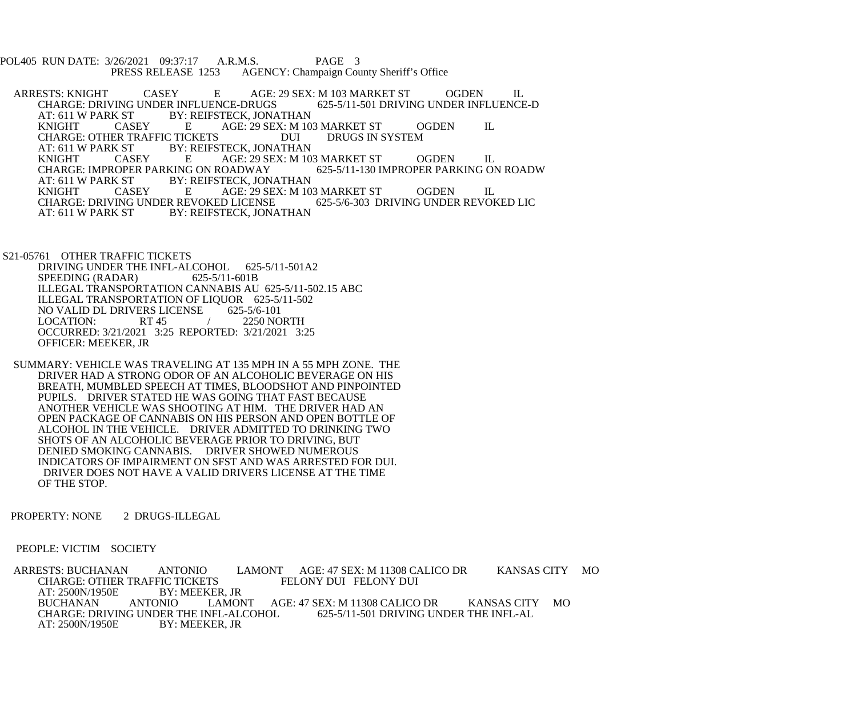POL405 RUN DATE: 3/26/2021 09:37:17 A.R.M.S. PAGE 3<br>PRESS RELEASE 1253 AGENCY: Champaign Cou AGENCY: Champaign County Sheriff's Office

ARRESTS: KNIGHT CASEY E AGE: 29 SEX: M 103 MARKET ST OGDEN IL<br>CHARGE: DRIVING UNDER INFLUENCE-DRUGS 625-5/11-501 DRIVING UNDER INFLUENCE-D CHARGE: DRIVING UNDER INFLUENCE-DRUGS<br>AT: 611 W PARK ST BY: REIFSTECK, JONA BY: REIFSTECK, JONATHAN KNIGHT CASEY E AGE: 29 SEX: M 103 MARKET ST OGDEN IL CHARGE: OTHER TRAFFIC TICKETS DUI<br>AT: 611 W PARK ST BY: REIFSTECK. JONATHA AT: 611 W PARK ST BY: REIFSTECK, JONATHAN<br>
KNIGHT CASEY E AGE: 29 SEX: M 10 AGE: 29 SEX: M 103 MARKET ST OGDEN IL<br>COADWAY 625-5/11-130 IMPROPER PARKING ON ROADW CHARGE: IMPROPER PARKING ON ROADWAY<br>AT: 611 W PARK ST BY: REIFSTECK. JON BY: REIFSTECK, JONATHAN KNIGHT CASEY E AGE: 29 SEX: M 103 MARKET ST OGDEN IL CHARGE: DRIVING UNDER REVOKED LICENSE 625-5/6-303 DRIVING UNDER REVOKED LIC<br>AT: 611 W PARK ST BY: REIFSTECK. JONATHAN BY: REIFSTECK, JONATHAN

 S21-05761 OTHER TRAFFIC TICKETS DRIVING UNDER THE INFL-ALCOHOL 625-5/11-501A2<br>SPEEDING (RADAR) 625-5/11-601B SPEEDING (RADAR) ILLEGAL TRANSPORTATION CANNABIS AU 625-5/11-502.15 ABC ILLEGAL TRANSPORTATION OF LIQUOR 625-5/11-502<br>NO VALID DL DRIVERS LICENSE 625-5/6-101 NO VALID DL DRIVERS LICENSE<br>LOCATION: RT 45 LOCATION: RT 45 / 2250 NORTH OCCURRED: 3/21/2021 3:25 REPORTED: 3/21/2021 3:25 OFFICER: MEEKER, JR

 SUMMARY: VEHICLE WAS TRAVELING AT 135 MPH IN A 55 MPH ZONE. THE DRIVER HAD A STRONG ODOR OF AN ALCOHOLIC BEVERAGE ON HIS BREATH, MUMBLED SPEECH AT TIMES, BLOODSHOT AND PINPOINTED PUPILS. DRIVER STATED HE WAS GOING THAT FAST BECAUSE ANOTHER VEHICLE WAS SHOOTING AT HIM. THE DRIVER HAD AN OPEN PACKAGE OF CANNABIS ON HIS PERSON AND OPEN BOTTLE OF ALCOHOL IN THE VEHICLE. DRIVER ADMITTED TO DRINKING TWO SHOTS OF AN ALCOHOLIC BEVERAGE PRIOR TO DRIVING, BUT DENIED SMOKING CANNABIS. DRIVER SHOWED NUMEROUS INDICATORS OF IMPAIRMENT ON SFST AND WAS ARRESTED FOR DUI. DRIVER DOES NOT HAVE A VALID DRIVERS LICENSE AT THE TIME OF THE STOP.

PROPERTY: NONE 2 DRUGS-ILLEGAL

PEOPLE: VICTIM SOCIETY

ARRESTS: BUCHANAN ANTONIO LAMONT AGE: 47 SEX: M 11308 CALICO DR KANSAS CITY MO<br>CHARGE: OTHER TRAFFIC TICKETS FELONY DUI FELONY DUI CHARGE: OTHER TRAFFIC TICKETS AT: 2500N/1950E BY: MEEKER, JR BUCHANAN ANTONIO LAMONT AGE: 47 SEX: M 11308 CALICO DR KANSAS CITY MO CHARGE: DRIVING UNDER THE INFL-ALCOHOL 625-5/11-501 DRIVING UNDER THE INFL-AL<br>AT: 2500N/1950E BY: MEEKER. JR BY: MEEKER, JR